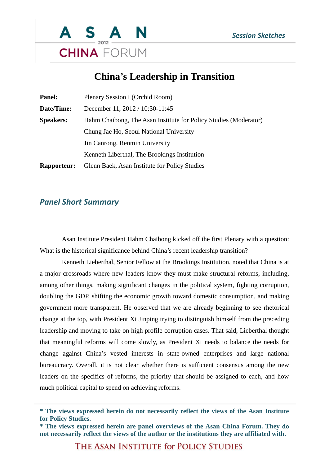

## **China's Leadership in Transition**

| <b>Panel:</b>      | Plenary Session I (Orchid Room)                                  |
|--------------------|------------------------------------------------------------------|
| Date/Time:         | December 11, 2012 / 10:30-11:45                                  |
| <b>Speakers:</b>   | Hahm Chaibong, The Asan Institute for Policy Studies (Moderator) |
|                    | Chung Jae Ho, Seoul National University                          |
|                    | Jin Canrong, Renmin University                                   |
|                    | Kenneth Liberthal, The Brookings Institution                     |
| <b>Rapporteur:</b> | Glenn Baek, Asan Institute for Policy Studies                    |

## *Panel Short Summary*

Asan Institute President Hahm Chaibong kicked off the first Plenary with a question: What is the historical significance behind China's recent leadership transition?

Kenneth Lieberthal, Senior Fellow at the Brookings Institution, noted that China is at a major crossroads where new leaders know they must make structural reforms, including, among other things, making significant changes in the political system, fighting corruption, doubling the GDP, shifting the economic growth toward domestic consumption, and making government more transparent. He observed that we are already beginning to see rhetorical change at the top, with President Xi Jinping trying to distinguish himself from the preceding leadership and moving to take on high profile corruption cases. That said, Lieberthal thought that meaningful reforms will come slowly, as President Xi needs to balance the needs for change against China's vested interests in state-owned enterprises and large national bureaucracy. Overall, it is not clear whether there is sufficient consensus among the new leaders on the specifics of reforms, the priority that should be assigned to each, and how much political capital to spend on achieving reforms.

THE ASAN INSTITUTE for POLICY STUDIES

**<sup>\*</sup> The views expressed herein do not necessarily reflect the views of the Asan Institute for Policy Studies.**

**<sup>\*</sup> The views expressed herein are panel overviews of the Asan China Forum. They do not necessarily reflect the views of the author or the institutions they are affiliated with.**